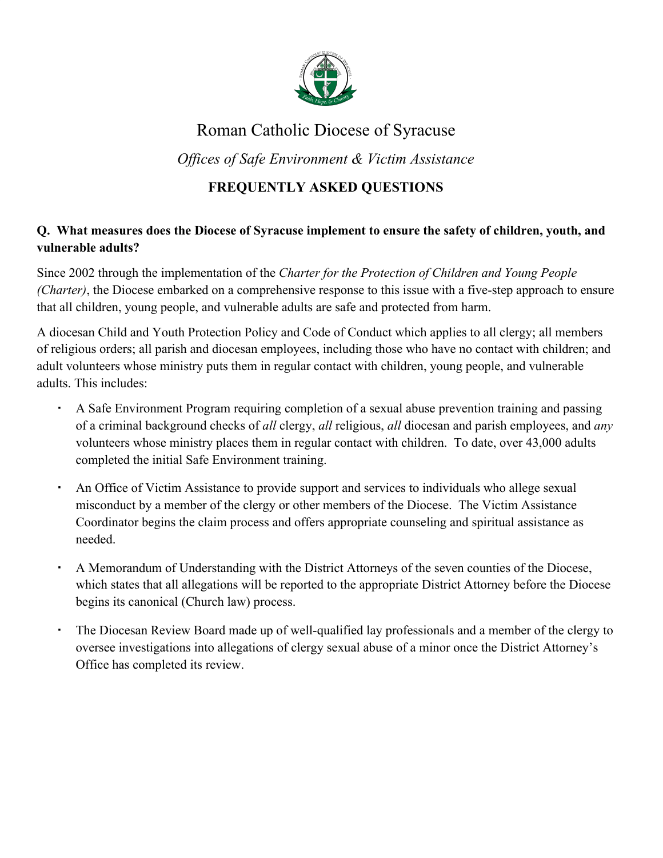

# Roman Catholic Diocese of Syracuse

*Of ices of Safe Environment & Victim Assistance*

## **FREQUENTLY ASKED QUESTIONS**

## **Q. What measures does the Diocese of Syracuse implement to ensure the safety of children, youth, and vulnerable adults?**

Since 2002 through the implementation of the *Charter for the Protection of Children and Young People (Charter)*, the Diocese embarked on a comprehensive response to this issue with a five-step approach to ensure that all children, young people, and vulnerable adults are safe and protected from harm.

A diocesan Child and Youth Protection Policy and Code of Conduct which applies to all clergy; all members of religious orders; all parish and diocesan employees, including those who have no contact with children; and adult volunteers whose ministry puts them in regular contact with children, young people, and vulnerable adults. This includes:

- A Safe Environment Program requiring completion of a sexual abuse prevention training and passing of a criminal background checks of *all* clergy, *all* religious, *all* diocesan and parish employees, and *any* volunteers whose ministry places them in regular contact with children. To date, over 43,000 adults completed the initial Safe Environment training.
- An Office of Victim Assistance to provide support and services to individuals who allege sexual misconduct by a member of the clergy or other members of the Diocese. The Victim Assistance Coordinator begins the claim process and offers appropriate counseling and spiritual assistance as needed.
- A Memorandum of Understanding with the District Attorneys of the seven counties of the Diocese, which states that all allegations will be reported to the appropriate District Attorney before the Diocese begins its canonical (Church law) process.
- The Diocesan Review Board made up of well-qualified lay professionals and a member of the clergy to oversee investigations into allegations of clergy sexual abuse of a minor once the District Attorney's Office has completed its review.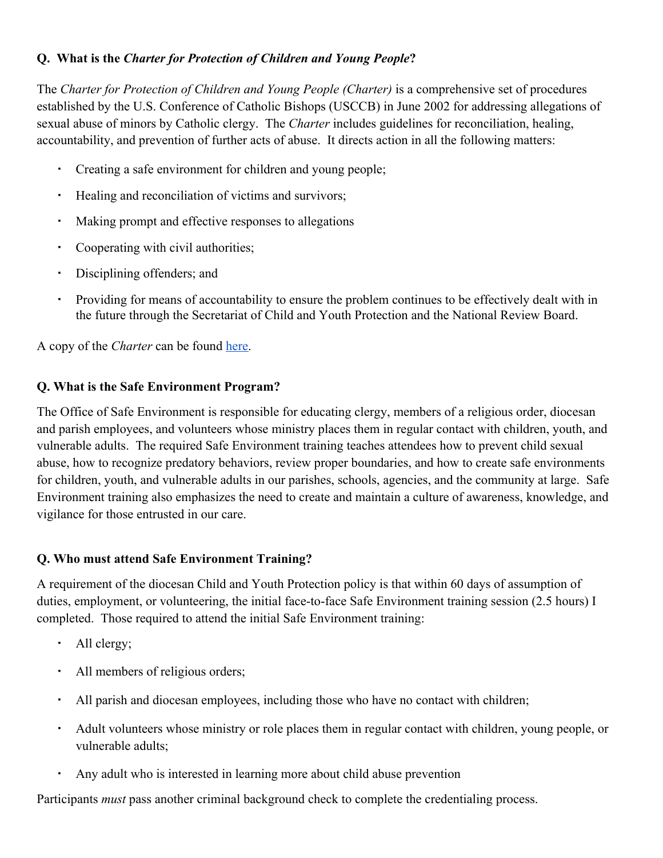## **Q. What is the** *Charter for Protection of Children and Young People***?**

The *Charter for Protection of Children and Young People (Charter)* is a comprehensive set of procedures established by the U.S. Conference of Catholic Bishops (USCCB) in June 2002 for addressing allegations of sexual abuse of minors by Catholic clergy. The *Charter* includes guidelines for reconciliation, healing, accountability, and prevention of further acts of abuse. It directs action in all the following matters:

- Creating a safe environment for children and young people;
- Healing and reconciliation of victims and survivors;
- Making prompt and effective responses to allegations
- Cooperating with civil authorities;
- Disciplining offenders; and
- Providing for means of accountability to ensure the problem continues to be effectively dealt with in the future through the Secretariat of Child and Youth Protection and the National Review Board.

A copy of the *Charter* can be found [here.](http://www.usccb.org/issues-and-action/child-and-youth-protection/upload/Charter-for-the-Protection-of-Children-and-Young-People-2018-final.pdf)

#### **Q. What is the Safe Environment Program?**

The Office of Safe Environment is responsible for educating clergy, members of a religious order, diocesan and parish employees, and volunteers whose ministry places them in regular contact with children, youth, and vulnerable adults. The required Safe Environment training teaches attendees how to prevent child sexual abuse, how to recognize predatory behaviors, review proper boundaries, and how to create safe environments for children, youth, and vulnerable adults in our parishes, schools, agencies, and the community at large. Safe Environment training also emphasizes the need to create and maintain a culture of awareness, knowledge, and vigilance for those entrusted in our care.

#### **Q. Who must attend Safe Environment Training?**

A requirement of the diocesan Child and Youth Protection policy is that within 60 days of assumption of duties, employment, or volunteering, the initial face-to-face Safe Environment training session (2.5 hours) I completed. Those required to attend the initial Safe Environment training:

- All clergy;
- All members of religious orders;
- All parish and diocesan employees, including those who have no contact with children;
- Adult volunteers whose ministry or role places them in regular contact with children, young people, or vulnerable adults;
- Any adult who is interested in learning more about child abuse prevention

Participants *must* pass another criminal background check to complete the credentialing process.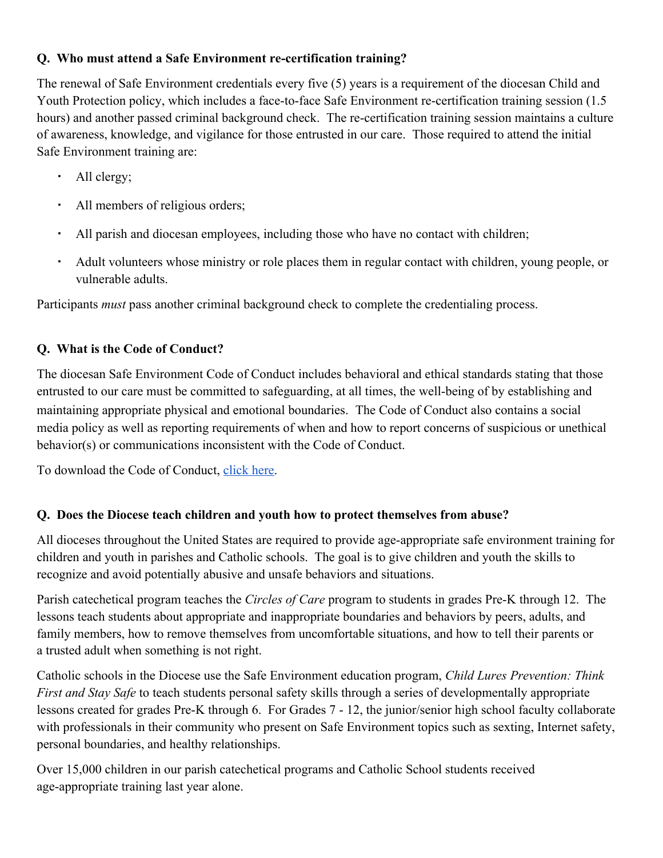#### **Q. Who must attend a Safe Environment re-certification training?**

The renewal of Safe Environment credentials every five (5) years is a requirement of the diocesan Child and Youth Protection policy, which includes a face-to-face Safe Environment re-certification training session (1.5 hours) and another passed criminal background check. The re-certification training session maintains a culture of awareness, knowledge, and vigilance for those entrusted in our care. Those required to attend the initial Safe Environment training are:

- All clergy;
- All members of religious orders;
- All parish and diocesan employees, including those who have no contact with children;
- Adult volunteers whose ministry or role places them in regular contact with children, young people, or vulnerable adults.

Participants *must* pass another criminal background check to complete the credentialing process.

#### **Q. What is the Code of Conduct?**

The diocesan Safe Environment Code of Conduct includes behavioral and ethical standards stating that those entrusted to our care must be committed to safeguarding, at all times, the well-being of by establishing and maintaining appropriate physical and emotional boundaries. The Code of Conduct also contains a social media policy as well as reporting requirements of when and how to report concerns of suspicious or unethical behavior(s) or communications inconsistent with the Code of Conduct.

To download the Code of Conduct, [click here.](https://www.syracusediocese.org/assets/Uploads/Diocesan-code-of-conduct.pdf)

#### **Q. Does the Diocese teach children and youth how to protect themselves from abuse?**

All dioceses throughout the United States are required to provide age-appropriate safe environment training for children and youth in parishes and Catholic schools. The goal is to give children and youth the skills to recognize and avoid potentially abusive and unsafe behaviors and situations.

Parish catechetical program teaches the *Circles of Care* program to students in grades Pre-K through 12. The lessons teach students about appropriate and inappropriate boundaries and behaviors by peers, adults, and family members, how to remove themselves from uncomfortable situations, and how to tell their parents or a trusted adult when something is not right.

[Catholic schools](https://syracusediocese.org/schools/) in the Diocese use the Safe Environment education program, *Child Lures Prevention: Think First and Stay Safe* to teach students personal safety skills through a series of developmentally appropriate lessons created for grades Pre-K through 6. For Grades 7 - 12, the junior/senior high school faculty collaborate with professionals in their community who present on Safe Environment topics such as sexting, Internet safety, personal boundaries, and healthy relationships.

Over 15,000 children in our parish catechetical programs and Catholic School students received age-appropriate training last year alone.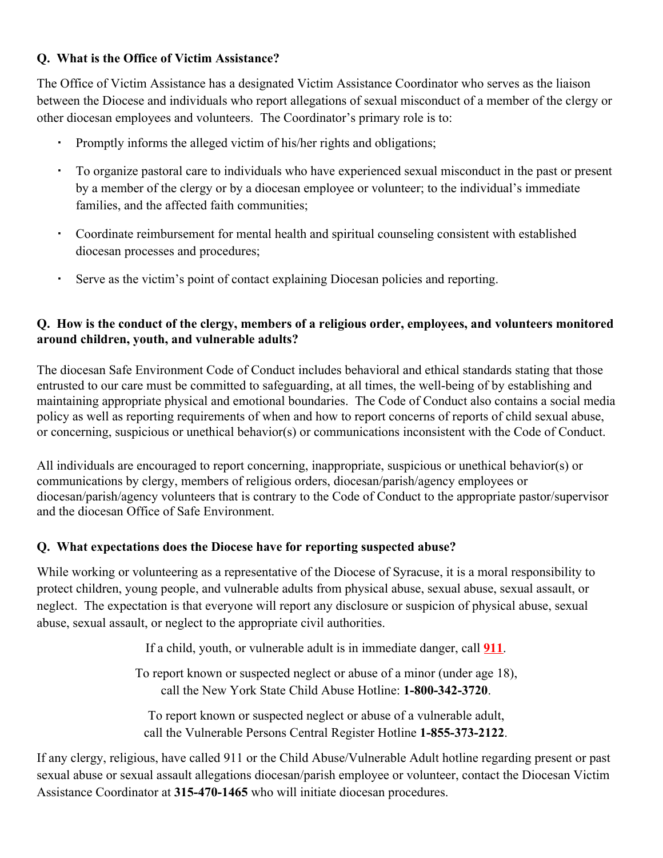#### **Q. What is the Office of Victim Assistance?**

The Office of Victim Assistance has a designated Victim Assistance Coordinator who serves as the liaison between the Diocese and individuals who report allegations of sexual misconduct of a member of the clergy or other diocesan employees and volunteers. The Coordinator's primary role is to:

- Promptly informs the alleged victim of his/her rights and obligations;
- To organize pastoral care to individuals who have experienced sexual misconduct in the past or present by a member of the clergy or by a diocesan employee or volunteer; to the individual's immediate families, and the affected faith communities;
- Coordinate reimbursement for mental health and spiritual counseling consistent with established diocesan processes and procedures;
- Serve as the victim's point of contact explaining Diocesan policies and reporting.

#### **Q. How is the conduct of the clergy, members of a religious order, employees, and volunteers monitored around children, youth, and vulnerable adults?**

The diocesan Safe Environment Code of Conduct includes behavioral and ethical standards stating that those entrusted to our care must be committed to safeguarding, at all times, the well-being of by establishing and maintaining appropriate physical and emotional boundaries. The Code of Conduct also contains a social media policy as well as reporting requirements of when and how to report concerns of reports of child sexual abuse, or concerning, suspicious or unethical behavior(s) or communications inconsistent with the Code of Conduct.

All individuals are encouraged to report concerning, inappropriate, suspicious or unethical behavior(s) or communications by clergy, members of religious orders, diocesan/parish/agency employees or diocesan/parish/agency volunteers that is contrary to the Code of Conduct to the appropriate pastor/supervisor and the diocesan Office of Safe Environment.

#### **Q. What expectations does the Diocese have for reporting suspected abuse?**

While working or volunteering as a representative of the Diocese of Syracuse, it is a moral responsibility to protect children, young people, and vulnerable adults from physical abuse, sexual abuse, sexual assault, or neglect. The expectation is that everyone will report any disclosure or suspicion of physical abuse, sexual abuse, sexual assault, or neglect to the appropriate civil authorities.

If a child, youth, or vulnerable adult is in immediate danger, call **911**.

To report known or suspected neglect or abuse of a minor (under age 18), call the New York State Child Abuse Hotline: **1-800-342-3720**.

To report known or suspected neglect or abuse of a vulnerable adult, call the Vulnerable Persons Central Register Hotline **1-855-373-2122**.

If any clergy, religious, have called 911 or the Child Abuse/Vulnerable Adult hotline regarding present or past sexual abuse or sexual assault allegations diocesan/parish employee or volunteer, contact the Diocesan Victim Assistance Coordinator at **315-470-1465** who will initiate diocesan procedures.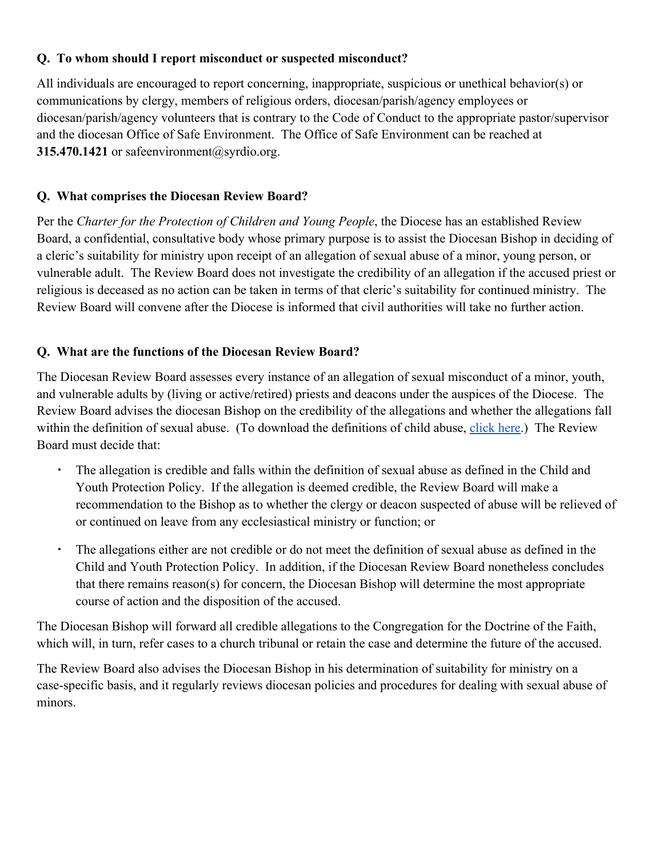#### **Q. To whom should I report misconduct or suspected misconduct?**

All individuals are encouraged to report concerning, inappropriate, suspicious or unethical behavior(s) or communications by clergy, members of religious orders, diocesan/parish/agency employees or diocesan/parish/agency volunteers that is contrary to the Code of Conduct to the appropriate pastor/supervisor and the diocesan Office of Safe Environment. The Office of Safe Environment can be reached at **315.470.1421** or safeenvironment@syrdio.org.

#### **Q. What comprises the Diocesan Review Board?**

Per the *Charter for the Protection of Children and Young People*, the Diocese has an established Review Board, a confidential, consultative body whose primary purpose is to assist the Diocesan Bishop in deciding of a cleric's suitability for ministry upon receipt of an allegation of sexual abuse of a minor, young person, or vulnerable adult. The Review Board does not investigate the credibility of an allegation if the accused priest or religious is deceased as no action can be taken in terms of that cleric's suitability for continued ministry. The Review Board will convene after the Diocese is informed that civil authorities will take no further action.

#### **Q. What are the functions of the Diocesan Review Board?**

The Diocesan Review Board assesses every instance of an allegation of sexual misconduct of a minor, youth, and vulnerable adults by (living or active/retired) priests and deacons under the auspices of the Diocese. The Review Board advises the diocesan Bishop on the credibility of the allegations and whether the allegations fall within the definition of sexual abuse. (To download the definitions of child abuse, [click here.](https://syracusediocese.org//assets/Uploads/Sexual-abuse-definitions-from-policy.pdf)) The Review Board must decide that:

- The allegation is credible and falls within the definition of sexual abuse as defined in the Child and Youth Protection Policy. If the allegation is deemed credible, the Review Board will make a recommendation to the Bishop as to whether the clergy or deacon suspected of abuse will be relieved of or continued on leave from any ecclesiastical ministry or function; or
- The allegations either are not credible or do not meet the definition of sexual abuse as defined in the Child and Youth Protection Policy. In addition, if the Diocesan Review Board nonetheless concludes that there remains reason(s) for concern, the Diocesan Bishop will determine the most appropriate course of action and the disposition of the accused.

The Diocesan Bishop will forward all credible allegations to the Congregation for the Doctrine of the Faith, which will, in turn, refer cases to a church tribunal or retain the case and determine the future of the accused.

The Review Board also advises the Diocesan Bishop in his determination of suitability for ministry on a case-specific basis, and it regularly reviews diocesan policies and procedures for dealing with sexual abuse of minors.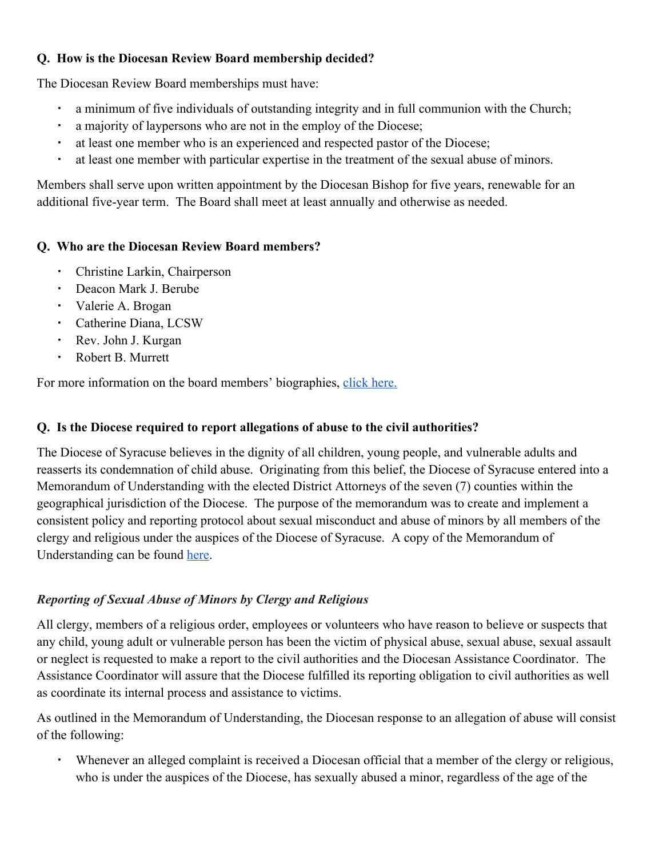## **Q. How is the Diocesan Review Board membership decided?**

The Diocesan Review Board memberships must have:

- a minimum of five individuals of outstanding integrity and in full communion with the Church;
- a majority of laypersons who are not in the employ of the Diocese;
- at least one member who is an experienced and respected pastor of the Diocese;
- at least one member with particular expertise in the treatment of the sexual abuse of minors.

Members shall serve upon written appointment by the Diocesan Bishop for five years, renewable for an additional five-year term. The Board shall meet at least annually and otherwise as needed.

## **Q. Who are the Diocesan Review Board members?**

- Christine Larkin, Chairperson
- Deacon Mark J. Berube
- Valerie A. Brogan
- Catherine Diana, LCSW
- Rev. John J. Kurgan
- Robert B. Murrett

For more information on the board members' biographies, [click here.](https://syracusediocese.org/safe-environment/victim-assistance/diocesan-review-board/)

#### **Q. Is the Diocese required to report allegations of abuse to the civil authorities?**

The Diocese of Syracuse believes in the dignity of all children, young people, and vulnerable adults and reasserts its condemnation of child abuse. Originating from this belief, the Diocese of Syracuse entered into a Memorandum of Understanding with the elected District Attorneys of the seven (7) counties within the geographical jurisdiction of the Diocese. The purpose of the memorandum was to create and implement a consistent policy and reporting protocol about sexual misconduct and abuse of minors by all members of the clergy and religious under the auspices of the Diocese of Syracuse. A copy of the Memorandum of Understanding can be found [here.](https://syracusediocese.org/assets/PDFs---Diocesan-Offices/Safe-Environment/Memorandum-of-Understanding-fully-executed-H2660354x7A869-2.PDF)

## *Reporting of Sexual Abuse of Minors by Clergy and Religious*

All clergy, members of a religious order, employees or volunteers who have reason to believe or suspects that any child, young adult or vulnerable person has been the victim of physical abuse, sexual abuse, sexual assault or neglect is requested to make a report to the civil authorities and the Diocesan Assistance Coordinator. The Assistance Coordinator will assure that the Diocese fulfilled its reporting obligation to civil authorities as well as coordinate its internal process and assistance to victims.

As outlined in the Memorandum of Understanding, the Diocesan response to an allegation of abuse will consist of the following:

▪ Whenever an alleged complaint is received a Diocesan official that a member of the clergy or religious, who is under the auspices of the Diocese, has sexually abused a minor, regardless of the age of the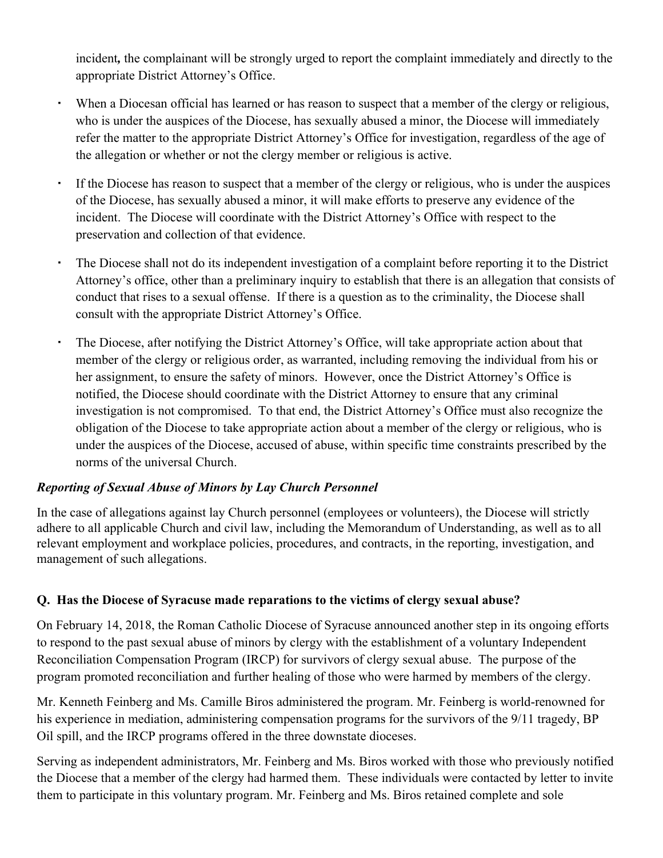incident*,* the complainant will be strongly urged to report the complaint immediately and directly to the appropriate District Attorney's Office.

- When a Diocesan official has learned or has reason to suspect that a member of the clergy or religious, who is under the auspices of the Diocese, has sexually abused a minor, the Diocese will immediately refer the matter to the appropriate District Attorney's Office for investigation, regardless of the age of the allegation or whether or not the clergy member or religious is active.
- If the Diocese has reason to suspect that a member of the clergy or religious, who is under the auspices of the Diocese, has sexually abused a minor, it will make efforts to preserve any evidence of the incident. The Diocese will coordinate with the District Attorney's Office with respect to the preservation and collection of that evidence.
- The Diocese shall not do its independent investigation of a complaint before reporting it to the District Attorney's office, other than a preliminary inquiry to establish that there is an allegation that consists of conduct that rises to a sexual offense. If there is a question as to the criminality, the Diocese shall consult with the appropriate District Attorney's Office.
- The Diocese, after notifying the District Attorney's Office, will take appropriate action about that member of the clergy or religious order, as warranted, including removing the individual from his or her assignment, to ensure the safety of minors. However, once the District Attorney's Office is notified, the Diocese should coordinate with the District Attorney to ensure that any criminal investigation is not compromised. To that end, the District Attorney's Office must also recognize the obligation of the Diocese to take appropriate action about a member of the clergy or religious, who is under the auspices of the Diocese, accused of abuse, within specific time constraints prescribed by the norms of the universal Church.

#### *Reporting of Sexual Abuse of Minors by Lay Church Personnel*

In the case of allegations against lay Church personnel (employees or volunteers), the Diocese will strictly adhere to all applicable Church and civil law, including the Memorandum of Understanding, as well as to all relevant employment and workplace policies, procedures, and contracts, in the reporting, investigation, and management of such allegations.

#### **Q. Has the Diocese of Syracuse made reparations to the victims of clergy sexual abuse?**

On February 14, 2018, the Roman Catholic Diocese of Syracuse announced another step in its ongoing efforts to respond to the past sexual abuse of minors by clergy with the establishment of a voluntary Independent Reconciliation Compensation Program (IRCP) for survivors of clergy sexual abuse. The purpose of the program promoted reconciliation and further healing of those who were harmed by members of the clergy.

Mr. Kenneth Feinberg and Ms. Camille Biros administered the program. Mr. Feinberg is world-renowned for his experience in mediation, administering compensation programs for the survivors of the 9/11 tragedy, BP Oil spill, and the IRCP programs offered in the three downstate dioceses.

Serving as independent administrators, Mr. Feinberg and Ms. Biros worked with those who previously notified the Diocese that a member of the clergy had harmed them. These individuals were contacted by letter to invite them to participate in this voluntary program. Mr. Feinberg and Ms. Biros retained complete and sole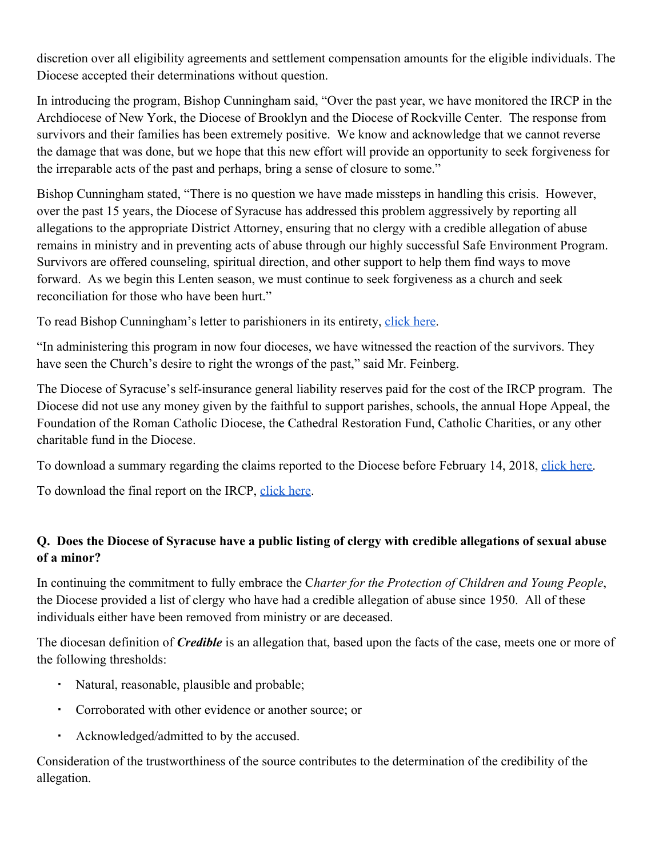discretion over all eligibility agreements and settlement compensation amounts for the eligible individuals. The Diocese accepted their determinations without question.

In introducing the program, Bishop Cunningham said, "Over the past year, we have monitored the IRCP in the Archdiocese of New York, the Diocese of Brooklyn and the Diocese of Rockville Center. The response from survivors and their families has been extremely positive. We know and acknowledge that we cannot reverse the damage that was done, but we hope that this new effort will provide an opportunity to seek forgiveness for the irreparable acts of the past and perhaps, bring a sense of closure to some."

Bishop Cunningham stated, "There is no question we have made missteps in handling this crisis. However, over the past 15 years, the Diocese of Syracuse has addressed this problem aggressively by reporting all allegations to the appropriate District Attorney, ensuring that no clergy with a credible allegation of abuse remains in ministry and in preventing acts of abuse through our highly successful Safe Environment Program. Survivors are offered counseling, spiritual direction, and other support to help them find ways to move forward. As we begin this Lenten season, we must continue to seek forgiveness as a church and seek reconciliation for those who have been hurt."

To read Bishop Cunningham's letter to parishioners in its entirety, [click here.](https://syracusediocese.org/about-us/ircp/letter-to-parishioners/)

"In administering this program in now four dioceses, we have witnessed the reaction of the survivors. They have seen the Church's desire to right the wrongs of the past," said Mr. Feinberg.

The Diocese of Syracuse's self-insurance general liability reserves paid for the cost of the IRCP program. The Diocese did not use any money given by the faithful to support parishes, schools, the annual Hope Appeal, the Foundation of the Roman Catholic Diocese, the Cathedral Restoration Fund, Catholic Charities, or any other charitable fund in the Diocese.

To download a summary regarding the claims reported to the Diocese before February 14, 2018, [click here.](https://syracusediocese.org/assets/PDFs---Diocesan-Offices/1-IRCP/SUMMARY-IRCP-DIOCESE-OF-SYRACUSE.pdf)

To download the final report on the IRCP, [click here](https://www.syracusediocese.org/assets/PDFs---Diocesan-Offices/Communications/IRCP-to-post.pdf).

## **Q. Does the Diocese of Syracuse have a public listing of clergy with credible allegations of sexual abuse of a minor?**

In continuing the commitment to fully embrace the C*harter for the Protection of Children and Young People*, the Diocese provided a list of clergy who have had a credible allegation of abuse since 1950. All of these individuals either have been removed from ministry or are deceased.

The diocesan definition of *Credible* is an allegation that, based upon the facts of the case, meets one or more of the following thresholds:

- Natural, reasonable, plausible and probable;
- Corroborated with other evidence or another source; or
- Acknowledged/admitted to by the accused.

Consideration of the trustworthiness of the source contributes to the determination of the credibility of the allegation.